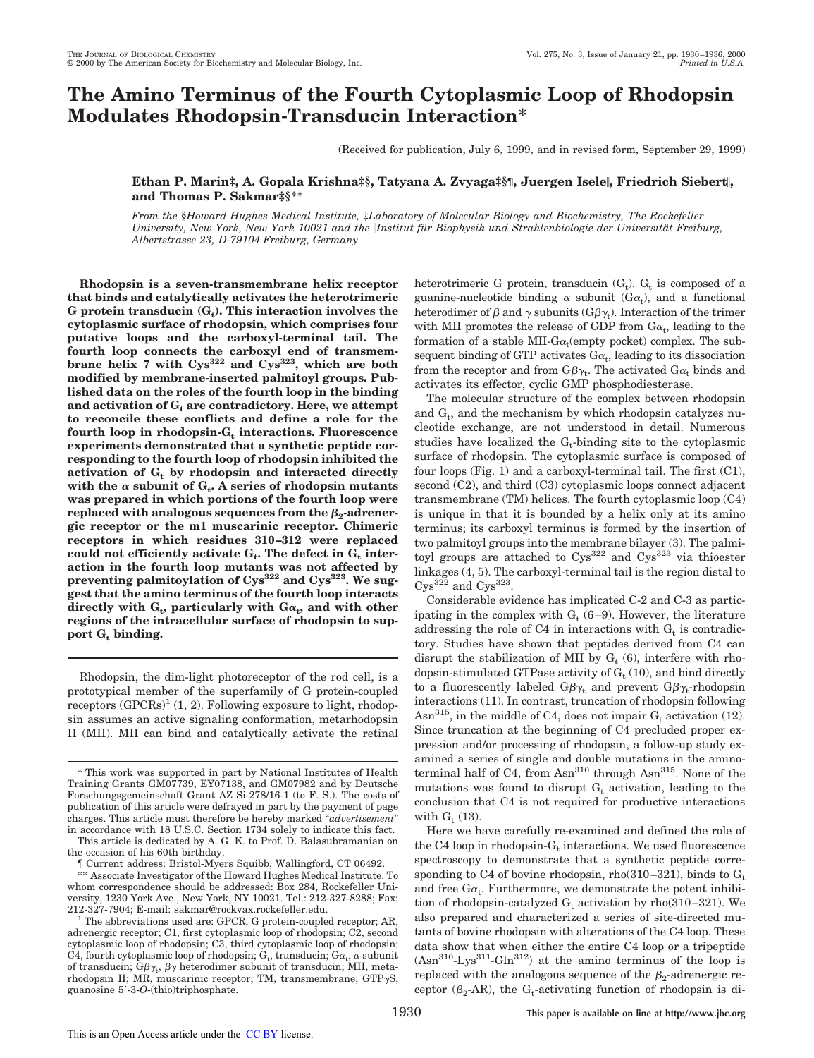# **The Amino Terminus of the Fourth Cytoplasmic Loop of Rhodopsin Modulates Rhodopsin-Transducin Interaction\***

(Received for publication, July 6, 1999, and in revised form, September 29, 1999)

## **Ethan P. Marin‡, A. Gopala Krishna‡§, Tatyana A. Zvyaga‡§¶, Juergen Isele**i**, Friedrich Siebert**i**, and Thomas P. Sakmar‡§\*\***

*From the* §*Howard Hughes Medical Institute,* ‡*Laboratory of Molecular Biology and Biochemistry, The Rockefeller University, New York, New York 10021 and the* i*Institut fu¨ r Biophysik und Strahlenbiologie der Universita¨t Freiburg, Albertstrasse 23, D-79104 Freiburg, Germany*

**Rhodopsin is a seven-transmembrane helix receptor that binds and catalytically activates the heterotrimeric G protein transducin (G<sup>t</sup> ). This interaction involves the cytoplasmic surface of rhodopsin, which comprises four putative loops and the carboxyl-terminal tail. The fourth loop connects the carboxyl end of transmembrane helix 7 with Cys<sup>322</sup> and Cys323, which are both modified by membrane-inserted palmitoyl groups. Published data on the roles of the fourth loop in the binding and activation of G<sup>t</sup> are contradictory. Here, we attempt to reconcile these conflicts and define a role for the fourth loop in rhodopsin-G<sup>t</sup> interactions. Fluorescence experiments demonstrated that a synthetic peptide corresponding to the fourth loop of rhodopsin inhibited the activation of G<sup>t</sup> by rhodopsin and interacted directly** with the  $\alpha$  subunit of  $G_t$ . A series of rhodopsin mutants **was prepared in which portions of the fourth loop were**  $\mathsf{replaced}$  with analogous sequences from the  $\beta_2\text{-}adrener\text{-}d$ **gic receptor or the m1 muscarinic receptor. Chimeric receptors in which residues 310–312 were replaced** could not efficiently activate  $G_t$ . The defect in  $G_t$  inter**action in the fourth loop mutants was not affected by preventing palmitoylation of Cys<sup>322</sup> and Cys323. We suggest that the amino terminus of the fourth loop interacts** directly with  $G_t$ , particularly with  $G_{\alpha_t}$ , and with other **regions of the intracellular surface of rhodopsin to support G<sup>t</sup> binding.**

Rhodopsin, the dim-light photoreceptor of the rod cell, is a prototypical member of the superfamily of G protein-coupled receptors  $(GPCRs)^1$  (1, 2). Following exposure to light, rhodopsin assumes an active signaling conformation, metarhodopsin II (MII). MII can bind and catalytically activate the retinal

heterotrimeric G protein, transducin  $(G_t)$ .  $G_t$  is composed of a guanine-nucleotide binding  $\alpha$  subunit (G $\alpha$ <sub>t</sub>), and a functional heterodimer of  $\beta$  and  $\gamma$  subunits ( $G\beta\gamma_t$ ). Interaction of the trimer with MII promotes the release of GDP from  $Ga_t$ , leading to the formation of a stable MII-G $\alpha$ <sub>t</sub>(empty pocket) complex. The subsequent binding of GTP activates  $Ga_t$ , leading to its dissociation from the receptor and from  $G\beta\gamma_t$ . The activated  $G\alpha_t$  binds and activates its effector, cyclic GMP phosphodiesterase.

The molecular structure of the complex between rhodopsin and  $G_t$ , and the mechanism by which rhodopsin catalyzes nucleotide exchange, are not understood in detail. Numerous studies have localized the  $G_t$ -binding site to the cytoplasmic surface of rhodopsin. The cytoplasmic surface is composed of four loops (Fig. 1) and a carboxyl-terminal tail. The first (C1), second (C2), and third (C3) cytoplasmic loops connect adjacent transmembrane (TM) helices. The fourth cytoplasmic loop (C4) is unique in that it is bounded by a helix only at its amino terminus; its carboxyl terminus is formed by the insertion of two palmitoyl groups into the membrane bilayer (3). The palmitoyl groups are attached to Cys<sup>322</sup> and Cys<sup>323</sup> via thioester linkages (4, 5). The carboxyl-terminal tail is the region distal to  $Cys<sup>322</sup>$  and  $Cys<sup>323</sup>$ .

Considerable evidence has implicated C-2 and C-3 as participating in the complex with  $G_t$  (6–9). However, the literature addressing the role of C4 in interactions with  $G_t$  is contradictory. Studies have shown that peptides derived from C4 can disrupt the stabilization of MII by  $G_t$  (6), interfere with rhodopsin-stimulated GTPase activity of  $G_t$  (10), and bind directly to a fluorescently labeled  $G\beta\gamma_{\rm t}$  and prevent  $G\beta\gamma_{\rm t}$ -rhodopsin interactions (11). In contrast, truncation of rhodopsin following Asn<sup>315</sup>, in the middle of C4, does not impair  $G_t$  activation (12). Since truncation at the beginning of C4 precluded proper expression and/or processing of rhodopsin, a follow-up study examined a series of single and double mutations in the aminoterminal half of C4, from  $Asn<sup>310</sup>$  through Asn<sup>315</sup>. None of the mutations was found to disrupt  $G_t$  activation, leading to the conclusion that C4 is not required for productive interactions with  $G_t$  (13).

Here we have carefully re-examined and defined the role of the C4 loop in rhodopsin- $G_t$  interactions. We used fluorescence spectroscopy to demonstrate that a synthetic peptide corresponding to C4 of bovine rhodopsin, rho $(310-321)$ , binds to  $G_t$ and free  $\text{G}\alpha_{\text{t}}$ . Furthermore, we demonstrate the potent inhibition of rhodopsin-catalyzed  $G_t$  activation by rho(310–321). We also prepared and characterized a series of site-directed mutants of bovine rhodopsin with alterations of the C4 loop. These data show that when either the entire C4 loop or a tripeptide  $(Asn^{310}-Lys^{311}-Gln^{312})$  at the amino terminus of the loop is replaced with the analogous sequence of the  $\beta_2$ -adrenergic receptor ( $\beta_2$ -AR), the G<sub>t</sub>-activating function of rhodopsin is di-

<sup>\*</sup> This work was supported in part by National Institutes of Health Training Grants GM07739, EY07138, and GM07982 and by Deutsche Forschungsgemeinschaft Grant AZ Si-278/16-1 (to F. S.). The costs of publication of this article were defrayed in part by the payment of page charges. This article must therefore be hereby marked "*advertisement*" in accordance with 18 U.S.C. Section 1734 solely to indicate this fact.

This article is dedicated by A. G. K. to Prof. D. Balasubramanian on the occasion of his 60th birthday.

<sup>¶</sup> Current address: Bristol-Myers Squibb, Wallingford, CT 06492.

<sup>\*\*</sup> Associate Investigator of the Howard Hughes Medical Institute. To whom correspondence should be addressed: Box 284, Rockefeller University, 1230 York Ave., New York, NY 10021. Tel.: 212-327-8288; Fax: 212-327-7904; E-mail: sakmar@rockvax.rockefeller.edu.

<sup>&</sup>lt;sup>1</sup> The abbreviations used are: GPCR, G protein-coupled receptor; AR, adrenergic receptor; C1, first cytoplasmic loop of rhodopsin; C2, second cytoplasmic loop of rhodopsin; C3, third cytoplasmic loop of rhodopsin; C4, fourth cytoplasmic loop of rhodopsin;  $G_t$ , transducin;  $G_{\alpha_t}$ ,  $\alpha$  subunit of transducin;  $G\beta\gamma_t$ ,  $\beta\gamma$  heterodimer subunit of transducin; MII, metarhodopsin II; MR, muscarinic receptor; TM, transmembrane;  $GTP\gamma S$ , guanosine 5'-3-O-(thio)triphosphate.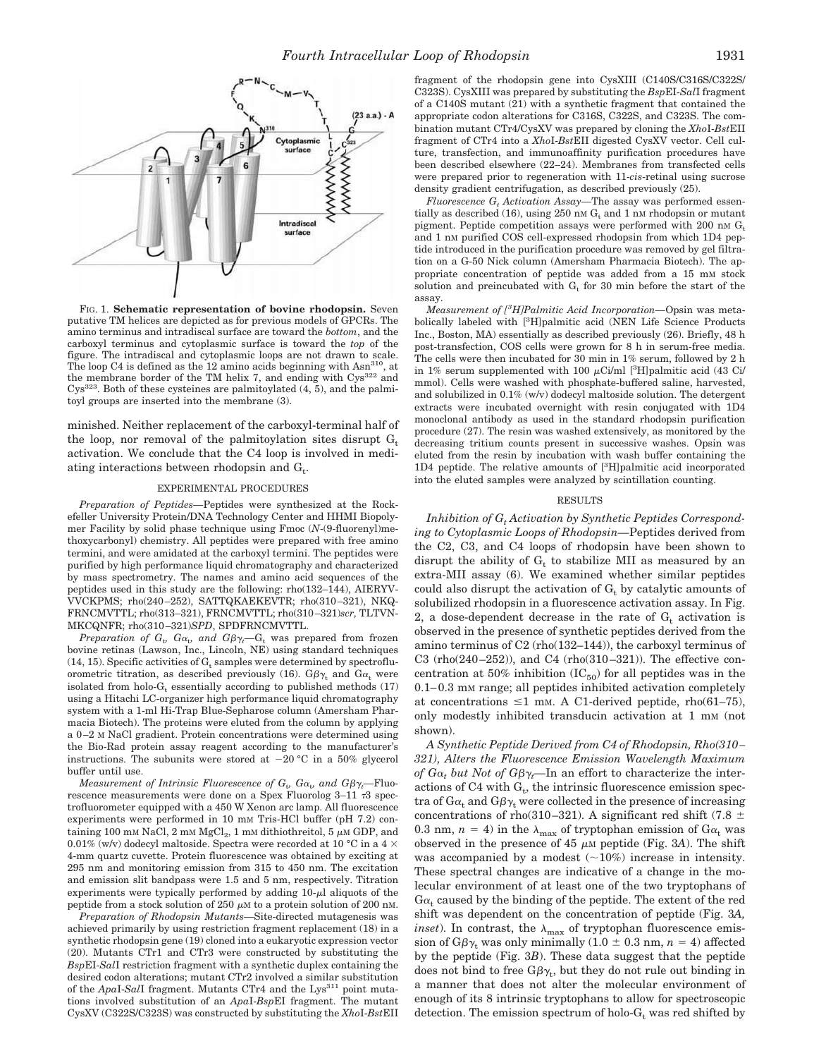

FIG. 1. **Schematic representation of bovine rhodopsin.** Seven putative TM helices are depicted as for previous models of GPCRs. The amino terminus and intradiscal surface are toward the *bottom*, and the carboxyl terminus and cytoplasmic surface is toward the *top* of the figure. The intradiscal and cytoplasmic loops are not drawn to scale. The loop C4 is defined as the  $12$  amino acids beginning with  $\text{Asn}^{310}$ , at the membrane border of the TM helix 7, and ending with  $Cys^{322}$  and  $Cys<sup>323</sup>$ . Both of these cysteines are palmitoylated  $(4, 5)$ , and the palmitoyl groups are inserted into the membrane (3).

minished. Neither replacement of the carboxyl-terminal half of the loop, nor removal of the palmitoylation sites disrupt  $G_t$ activation. We conclude that the C4 loop is involved in mediating interactions between rhodopsin and  $G_t$ .

#### EXPERIMENTAL PROCEDURES

*Preparation of Peptides—*Peptides were synthesized at the Rockefeller University Protein/DNA Technology Center and HHMI Biopolymer Facility by solid phase technique using Fmoc (*N*-(9-fluorenyl)methoxycarbonyl) chemistry. All peptides were prepared with free amino termini, and were amidated at the carboxyl termini. The peptides were purified by high performance liquid chromatography and characterized by mass spectrometry. The names and amino acid sequences of the peptides used in this study are the following: rho(132–144), AIERYV-VVCKPMS; rho(240–252), SATTQKAEKEVTR; rho(310–321), NKQ-FRNCMVTTL; rho(313–321), FRNCMVTTL; rho(310–321)*scr,* TLTVN-MKCQNFR; rho(310–321)*SPD*, SPDFRNCMVTTL.

 $Preparation$  of  $G_t$ ,  $G_{\alpha_t}$ , and  $G{\beta}\gamma_t$ — $G_t$  was prepared from frozen bovine retinas (Lawson, Inc., Lincoln, NE) using standard techniques  $(14, 15)$ . Specific activities of  $G_t$  samples were determined by spectrofluorometric titration, as described previously (16).  $G\beta\gamma_t$  and  $G\alpha_t$  were isolated from holo- $G_t$  essentially according to published methods  $(17)$ using a Hitachi LC-organizer high performance liquid chromatography system with a 1-ml Hi-Trap Blue-Sepharose column (Amersham Pharmacia Biotech). The proteins were eluted from the column by applying a 0–2 M NaCl gradient. Protein concentrations were determined using the Bio-Rad protein assay reagent according to the manufacturer's instructions. The subunits were stored at  $-20$  °C in a 50% glycerol buffer until use.

 $M$ easurement of Intrinsic Fluorescence of  $G_t$ ,  $G\alpha_t$ , and  $G\beta\gamma_t$ —Fluorescence measurements were done on a Spex Fluorolog  $3-11$   $\tau$ 3 spectrofluorometer equipped with a 450 W Xenon arc lamp. All fluorescence experiments were performed in 10 mM Tris-HCl buffer (pH 7.2) containing 100 mm NaCl, 2 mm  ${ {\rm MgCl}_2}$ , 1 mm dithiothreitol, 5  ${\rm \mu m}$  GDP, and 0.01% (w/v) dodecyl maltoside. Spectra were recorded at 10 °C in a 4  $\times$ 4-mm quartz cuvette. Protein fluorescence was obtained by exciting at 295 nm and monitoring emission from 315 to 450 nm. The excitation and emission slit bandpass were 1.5 and 5 nm, respectively. Titration experiments were typically performed by adding  $10-\mu l$  aliquots of the peptide from a stock solution of 250  $\mu$ M to a protein solution of 200 nM.

*Preparation of Rhodopsin Mutants—*Site-directed mutagenesis was achieved primarily by using restriction fragment replacement (18) in a synthetic rhodopsin gene (19) cloned into a eukaryotic expression vector (20). Mutants CTr1 and CTr3 were constructed by substituting the *Bsp*EI-*Sal*I restriction fragment with a synthetic duplex containing the desired codon alterations; mutant CTr2 involved a similar substitution of the *ApaI-SalI* fragment. Mutants CTr4 and the Lys<sup>311</sup> point mutations involved substitution of an *Apa*I-*Bsp*EI fragment. The mutant CysXV (C322S/C323S) was constructed by substituting the *Xho*I-*Bst*EII

fragment of the rhodopsin gene into CysXIII (C140S/C316S/C322S/ C323S). CysXIII was prepared by substituting the *Bsp*EI-*Sal*I fragment of a C140S mutant (21) with a synthetic fragment that contained the appropriate codon alterations for C316S, C322S, and C323S. The combination mutant CTr4/CysXV was prepared by cloning the *Xho*I-*Bst*EII fragment of CTr4 into a *Xho*I-*Bst*EII digested CysXV vector. Cell culture, transfection, and immunoaffinity purification procedures have been described elsewhere (22–24). Membranes from transfected cells were prepared prior to regeneration with 11-*cis*-retinal using sucrose density gradient centrifugation, as described previously (25).

*Fluorescence G<sup>t</sup> Activation Assay—*The assay was performed essentially as described (16), using 250 nm  $G_t$  and 1 nm rhodopsin or mutant pigment. Peptide competition assays were performed with 200 nm  $G_t$ and 1 nM purified COS cell-expressed rhodopsin from which 1D4 peptide introduced in the purification procedure was removed by gel filtration on a G-50 Nick column (Amersham Pharmacia Biotech). The appropriate concentration of peptide was added from a 15 mm stock solution and preincubated with  $G_t$  for 30 min before the start of the assay.

*Measurement of [3H]Palmitic Acid Incorporation—*Opsin was metabolically labeled with [3H]palmitic acid (NEN Life Science Products Inc., Boston, MA) essentially as described previously (26). Briefly, 48 h post-transfection, COS cells were grown for 8 h in serum-free media. The cells were then incubated for 30 min in 1% serum, followed by 2 h in 1% serum supplemented with 100  $\mu$ Ci/ml [<sup>3</sup>H]palmitic acid (43 Ci/ mmol). Cells were washed with phosphate-buffered saline, harvested, and solubilized in 0.1% (w/v) dodecyl maltoside solution. The detergent extracts were incubated overnight with resin conjugated with 1D4 monoclonal antibody as used in the standard rhodopsin purification procedure (27). The resin was washed extensively, as monitored by the decreasing tritium counts present in successive washes. Opsin was eluted from the resin by incubation with wash buffer containing the 1D4 peptide. The relative amounts of [3H]palmitic acid incorporated into the eluted samples were analyzed by scintillation counting.

## RESULTS

*Inhibition of G<sup>t</sup> Activation by Synthetic Peptides Corresponding to Cytoplasmic Loops of Rhodopsin—*Peptides derived from the C2, C3, and C4 loops of rhodopsin have been shown to disrupt the ability of  $G_t$  to stabilize MII as measured by an extra-MII assay (6). We examined whether similar peptides could also disrupt the activation of  $G_t$  by catalytic amounts of solubilized rhodopsin in a fluorescence activation assay. In Fig. 2, a dose-dependent decrease in the rate of  $G_t$  activation is observed in the presence of synthetic peptides derived from the amino terminus of C2 (rho(132–144)), the carboxyl terminus of C3 (rho(240–252)), and C4 (rho(310–321)). The effective concentration at 50% inhibition  $(IC_{50})$  for all peptides was in the 0.1–0.3 mM range; all peptides inhibited activation completely at concentrations  $\leq 1$  mM. A C1-derived peptide, rho(61–75), only modestly inhibited transducin activation at 1 mm (not shown).

*A Synthetic Peptide Derived from C4 of Rhodopsin, Rho(310– 321), Alters the Fluorescence Emission Wavelength Maximum of G* $\alpha$ <sub>t</sub> *but Not of G* $\beta\gamma$ <sub>t</sub>—In an effort to characterize the interactions of  $C4$  with  $G_t$ , the intrinsic fluorescence emission spectra of  $Ga_t$  and  $G\beta\gamma_t$  were collected in the presence of increasing concentrations of rho(310–321). A significant red shift (7.8  $\pm$ 0.3 nm,  $n = 4$ ) in the  $\lambda_{\text{max}}$  of tryptophan emission of  $G\alpha_t$  was observed in the presence of  $45 \mu M$  peptide (Fig. 3A). The shift was accompanied by a modest  $(\sim 10\%)$  increase in intensity. These spectral changes are indicative of a change in the molecular environment of at least one of the two tryptophans of  $Ga_t$  caused by the binding of the peptide. The extent of the red shift was dependent on the concentration of peptide (Fig. 3*A, inset*). In contrast, the  $\lambda_{\text{max}}$  of tryptophan fluorescence emission of G $\beta\gamma_t$  was only minimally (1.0  $\pm$  0.3 nm, *n* = 4) affected by the peptide (Fig. 3*B*). These data suggest that the peptide does not bind to free  $G\beta\gamma_t$ , but they do not rule out binding in a manner that does not alter the molecular environment of enough of its 8 intrinsic tryptophans to allow for spectroscopic detection. The emission spectrum of holo- $G_t$  was red shifted by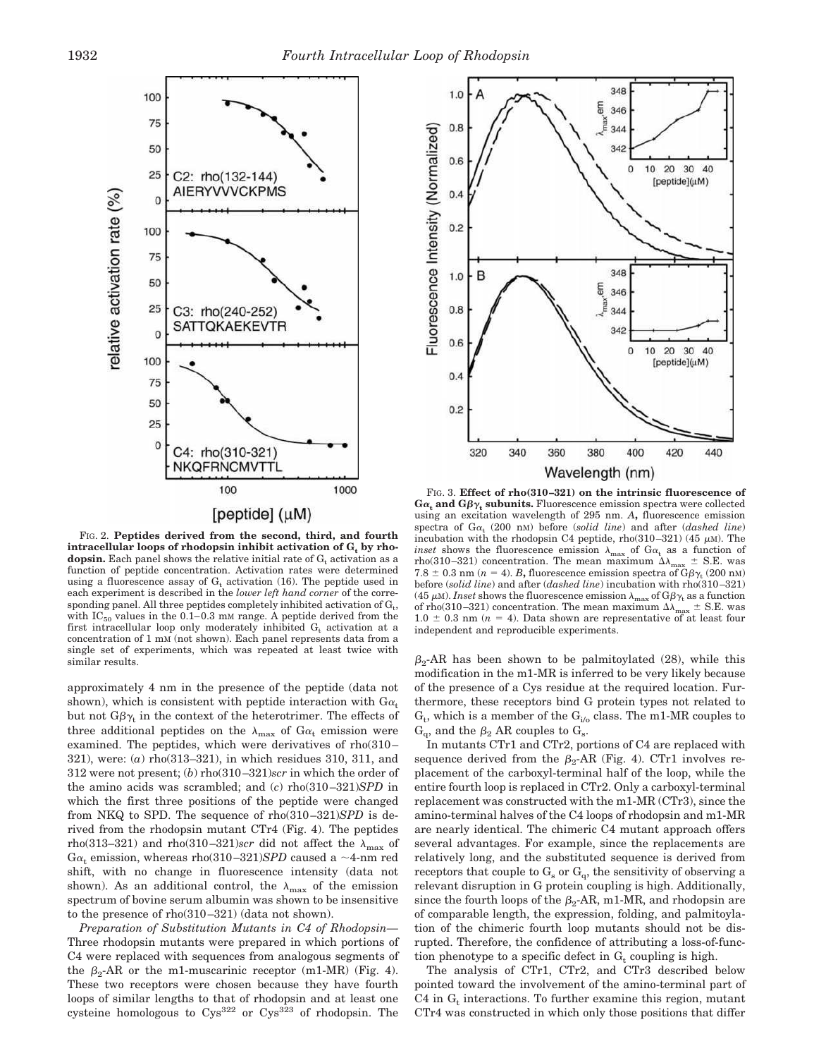

FIG. 2. **Peptides derived from the second, third, and fourth intracellular loops of rhodopsin inhibit activation of G<sup>t</sup> by rhodopsin.** Each panel shows the relative initial rate of  $G_t$  activation as a function of peptide concentration. Activation rates were determined using a fluorescence assay of  $G_t$  activation (16). The peptide used in each experiment is described in the *lower left hand corner* of the corresponding panel. All three peptides completely inhibited activation of  $G_t$ , with  $IC_{50}$  values in the 0.1–0.3 mM range. A peptide derived from the first intracellular loop only moderately inhibited  $G_t$  activation at a concentration of 1 mM (not shown). Each panel represents data from a single set of experiments, which was repeated at least twice with similar results.

approximately 4 nm in the presence of the peptide (data not shown), which is consistent with peptide interaction with  $Ga_t$ but not  $G\beta\gamma_t$  in the context of the heterotrimer. The effects of three additional peptides on the  $\lambda_{\text{max}}$  of  $G\alpha_t$  emission were examined. The peptides, which were derivatives of rho(310– 321), were: (*a*) rho(313–321), in which residues 310, 311, and 312 were not present; (*b*) rho(310–321)*scr* in which the order of the amino acids was scrambled; and (*c*) rho(310–321)*SPD* in which the first three positions of the peptide were changed from NKQ to SPD. The sequence of rho(310–321)*SPD* is derived from the rhodopsin mutant CTr4 (Fig. 4). The peptides rho(313–321) and rho(310–321)*scr* did not affect the  $\lambda_{\text{max}}$  of  $Ga_t$  emission, whereas rho(310–321)*SPD* caused a  $\sim$ 4-nm red shift, with no change in fluorescence intensity (data not shown). As an additional control, the  $\lambda_{\text{max}}$  of the emission spectrum of bovine serum albumin was shown to be insensitive to the presence of rho(310–321) (data not shown).

*Preparation of Substitution Mutants in C4 of Rhodopsin—* Three rhodopsin mutants were prepared in which portions of C4 were replaced with sequences from analogous segments of the  $\beta_2$ -AR or the m1-muscarinic receptor (m1-MR) (Fig. 4). These two receptors were chosen because they have fourth loops of similar lengths to that of rhodopsin and at least one cysteine homologous to  $C_{\text{VS}}^{322}$  or  $C_{\text{VS}}^{323}$  of rhodopsin. The



FIG. 3. **Effect of rho(310–321) on the intrinsic fluorescence of**  $G\alpha_t$  and  $G\beta\gamma_t$  subunits. Fluorescence emission spectra were collected using an excitation wavelength of 295 nm. *A***,** fluorescence emission  $spectra$  of  $Ga_t$  (200 nm) before (*solid line*) and after (*dashed line*) incubation with the rhodopsin C4 peptide, rho $(310-321)$  (45  $\mu$ M). The *inset* shows the fluorescence emission  $\lambda_{\text{max}}$  of  $G\alpha_t$  as a function of rho(310–321) concentration. The mean maximum  $\Delta \lambda_{\text{max}} \pm$  S.E. was 7.8  $\pm$  0.3 nm (*n* = 4). *B*, fluorescence emission spectra of  $G\beta\gamma_t$  (200 nm) before (*solid line*) and after (*dashed line*) incubation with rho(310–321) (45  $\mu$ M). *Inset* shows the fluorescence emission  $\lambda_{\text{max}}$  of  $G\beta\gamma_t$  as a function of rho(310–321) concentration. The mean maximum  $\Delta \lambda_{\text{max}} \pm$  S.E. was  $1.0 \pm 0.3$  nm ( $n = 4$ ). Data shown are representative of at least four independent and reproducible experiments.

 $\beta_2$ -AR has been shown to be palmitoylated (28), while this modification in the m1-MR is inferred to be very likely because of the presence of a Cys residue at the required location. Furthermore, these receptors bind G protein types not related to  $G_t$ , which is a member of the  $G_{i/o}$  class. The m1-MR couples to  $G_q$ , and the  $\beta_2$  AR couples to  $G_s$ .

In mutants CTr1 and CTr2, portions of C4 are replaced with sequence derived from the  $\beta_2$ -AR (Fig. 4). CTr1 involves replacement of the carboxyl-terminal half of the loop, while the entire fourth loop is replaced in CTr2. Only a carboxyl-terminal replacement was constructed with the m1-MR (CTr3), since the amino-terminal halves of the C4 loops of rhodopsin and m1-MR are nearly identical. The chimeric C4 mutant approach offers several advantages. For example, since the replacements are relatively long, and the substituted sequence is derived from receptors that couple to  $\mathrm{G}_\mathrm{s}$  or  $\mathrm{G}_\mathrm{q}$ , the sensitivity of observing a relevant disruption in G protein coupling is high. Additionally, since the fourth loops of the  $\beta_2$ -AR, m1-MR, and rhodopsin are of comparable length, the expression, folding, and palmitoylation of the chimeric fourth loop mutants should not be disrupted. Therefore, the confidence of attributing a loss-of-function phenotype to a specific defect in  $G_t$  coupling is high.

The analysis of CTr1, CTr2, and CTr3 described below pointed toward the involvement of the amino-terminal part of C4 in  $G_t$  interactions. To further examine this region, mutant CTr4 was constructed in which only those positions that differ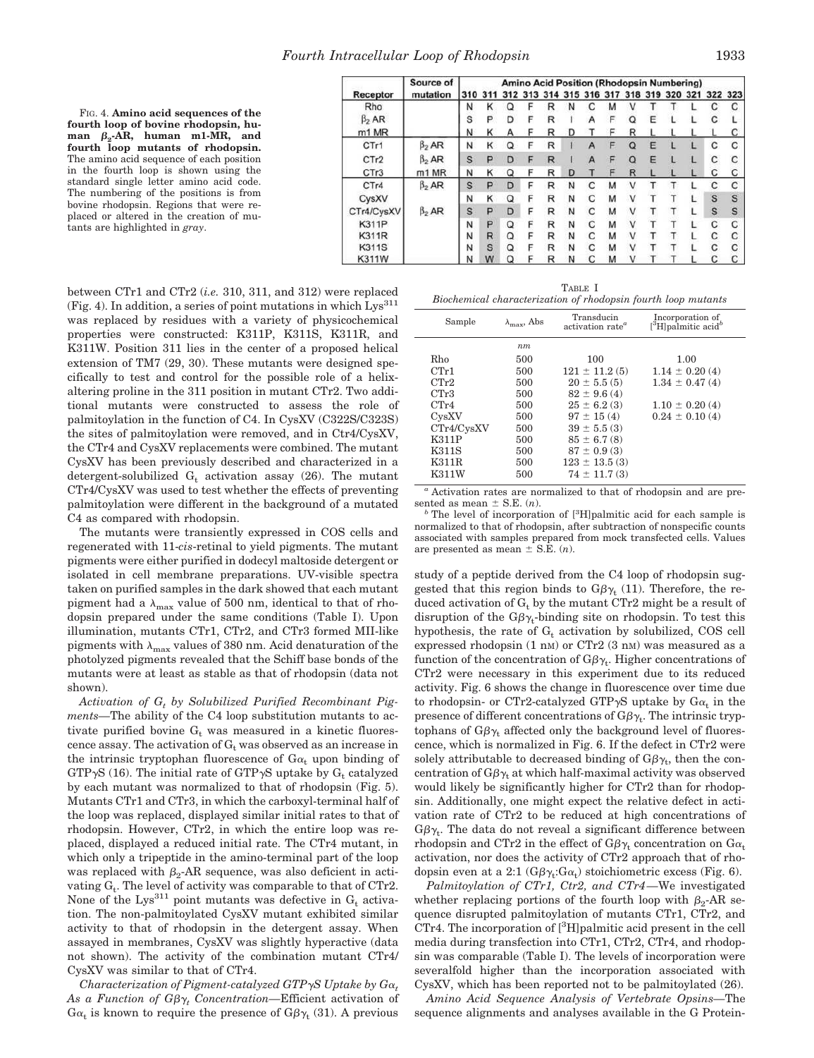FIG. 4. **Amino acid sequences of the fourth loop of bovine rhodopsin, hu**man  $\beta_2$ **-AR, human m1-MR, and fourth loop mutants of rhodopsin.** The amino acid sequence of each position in the fourth loop is shown using the standard single letter amino acid code. The numbering of the positions is from bovine rhodopsin. Regions that were replaced or altered in the creation of mutants are highlighted in *gray*.

| Receptor     | Source of               | <b>Amino Acid Position (Rhodopsin Numbering)</b> |         |          |   |   |   |   |   |                                                 |  |  |  |   |   |
|--------------|-------------------------|--------------------------------------------------|---------|----------|---|---|---|---|---|-------------------------------------------------|--|--|--|---|---|
|              | mutation                |                                                  | 310 311 |          |   |   |   |   |   | 312 313 314 315 316 317 318 319 320 321 322 323 |  |  |  |   |   |
| Rho.         |                         | N                                                | κ       | Q        | F | R | N | C | м | ν                                               |  |  |  |   | C |
| $\beta_2$ AR |                         | S                                                | P       | D        | F | R |   | А | F | Ω                                               |  |  |  |   |   |
| m1 MR        |                         | N                                                | κ       | А        |   | R | D |   |   | R                                               |  |  |  |   | с |
| CTr1         | $\beta_2 AR$            | N                                                | κ       | Q        | F | R |   | A | F | $\Omega$                                        |  |  |  | C | C |
| CTr2         | $\beta$ <sub>2</sub> AR | S                                                | P       | D        | F | R |   |   | F | $\Omega$                                        |  |  |  |   | С |
| CTr3         | m1 MR                   | N                                                | κ       | Q        | F | R | D |   |   | R                                               |  |  |  | С | С |
| CTr4         | $\beta_2 AR$            | S                                                | P       | D        |   | R | N | C | M | $\mathsf{V}$                                    |  |  |  |   | C |
| CysXV        |                         | N                                                | κ       | Q        |   | R | N | C | M | v                                               |  |  |  | S | S |
| CTr4/CysXV   | $\beta$ <sub>2</sub> AR | S                                                |         | D        | F | R | N | C | M | $\mathbf{v}$                                    |  |  |  | S | S |
| <b>K311P</b> |                         | N                                                | P       | $\Omega$ |   | R | N | C | M | v                                               |  |  |  |   | C |
| <b>K311R</b> |                         | N                                                | R       | $\Omega$ | F | R | N | C | M | $\mathcal{L}$                                   |  |  |  |   | C |
| <b>K311S</b> |                         | N                                                | S       | O        |   | R | N | C | M | $\mathsf{V}$                                    |  |  |  |   | C |
| K311W        |                         | N                                                | w       | O        |   | R | N | С | м |                                                 |  |  |  |   |   |

between CTr1 and CTr2 (*i.e.* 310, 311, and 312) were replaced (Fig. 4). In addition, a series of point mutations in which  $Lys<sup>311</sup>$ was replaced by residues with a variety of physicochemical properties were constructed: K311P, K311S, K311R, and K311W. Position 311 lies in the center of a proposed helical extension of TM7 (29, 30). These mutants were designed specifically to test and control for the possible role of a helixaltering proline in the 311 position in mutant CTr2. Two additional mutants were constructed to assess the role of palmitoylation in the function of C4. In CysXV (C322S/C323S) the sites of palmitoylation were removed, and in Ctr4/CysXV, the CTr4 and CysXV replacements were combined. The mutant CysXV has been previously described and characterized in a detergent-solubilized  $G_t$  activation assay (26). The mutant CTr4/CysXV was used to test whether the effects of preventing palmitoylation were different in the background of a mutated C4 as compared with rhodopsin.

The mutants were transiently expressed in COS cells and regenerated with 11-*cis*-retinal to yield pigments. The mutant pigments were either purified in dodecyl maltoside detergent or isolated in cell membrane preparations. UV-visible spectra taken on purified samples in the dark showed that each mutant pigment had a  $\lambda_{\text{max}}$  value of 500 nm, identical to that of rhodopsin prepared under the same conditions (Table I). Upon illumination, mutants CTr1, CTr2, and CTr3 formed MII-like pigments with  $\lambda_{\text{max}}$  values of 380 nm. Acid denaturation of the photolyzed pigments revealed that the Schiff base bonds of the mutants were at least as stable as that of rhodopsin (data not shown).

*Activation of G<sup>t</sup> by Solubilized Purified Recombinant Pigments—*The ability of the C4 loop substitution mutants to activate purified bovine  $G_t$  was measured in a kinetic fluorescence assay. The activation of  $G_t$  was observed as an increase in the intrinsic tryptophan fluorescence of  $Ga_t$  upon binding of GTP $\gamma$ S (16). The initial rate of GTP $\gamma$ S uptake by  $G_t$  catalyzed by each mutant was normalized to that of rhodopsin (Fig. 5). Mutants CTr1 and CTr3, in which the carboxyl-terminal half of the loop was replaced, displayed similar initial rates to that of rhodopsin. However, CTr2, in which the entire loop was replaced, displayed a reduced initial rate. The CTr4 mutant, in which only a tripeptide in the amino-terminal part of the loop was replaced with  $\beta_2$ -AR sequence, was also deficient in activating  $\mathrm{G}_\mathrm{t}.$  The level of activity was comparable to that of CTr2. None of the Lys<sup>311</sup> point mutants was defective in  $G_t$  activation. The non-palmitoylated CysXV mutant exhibited similar activity to that of rhodopsin in the detergent assay. When assayed in membranes, CysXV was slightly hyperactive (data not shown). The activity of the combination mutant CTr4/ CysXV was similar to that of CTr4.

*Characterization of Pigment-catalyzed GTP* $\gamma$ *S Uptake by G* $\alpha$ *As a Function of G*bg*<sup>t</sup> Concentration—*Efficient activation of  $Ga_t$  is known to require the presence of  $G\beta\gamma_t$  (31). A previous

TABLE I *Biochemical characterization of rhodopsin fourth loop mutants*

| Sample     | $\lambda_{\text{max}}$ , Abs | Transducin<br>activation rate <sup>a</sup> | Incorporation of<br>$[{}^3H]$ palmitic acid ${}^b$ |
|------------|------------------------------|--------------------------------------------|----------------------------------------------------|
|            | nm                           |                                            |                                                    |
| Rho        | 500                          | 100                                        | 1.00                                               |
| CTr1       | 500                          | $121 \pm 11.2(5)$                          | $1.14 \pm 0.20(4)$                                 |
| CTr2       | 500                          | $20 \pm 5.5(5)$                            | $1.34 \pm 0.47(4)$                                 |
| CTr3       | 500                          | $82 \pm 9.6(4)$                            |                                                    |
| CTr4       | 500                          | $25 \pm 6.2$ (3)                           | $1.10 \pm 0.20(4)$                                 |
| CysXV      | 500                          | $97 \pm 15(4)$                             | $0.24 \pm 0.10(4)$                                 |
| CTr4/CysXV | 500                          | $39 \pm 5.5(3)$                            |                                                    |
| K311P      | 500                          | $85 \pm 6.7$ (8)                           |                                                    |
| K311S      | 500                          | $87 \pm 0.9$ (3)                           |                                                    |
| K311R      | 500                          | $123 \pm 13.5(3)$                          |                                                    |
| K311W      | 500                          | $74 \pm 11.7(3)$                           |                                                    |

*<sup>a</sup>* Activation rates are normalized to that of rhodopsin and are presented as mean  $\pm$  S.E.  $(n)$ .

<sup>*b*</sup> The level of incorporation of <sup>[3</sup>H]palmitic acid for each sample is normalized to that of rhodopsin, after subtraction of nonspecific counts associated with samples prepared from mock transfected cells. Values are presented as mean  $\pm$  S.E.  $(n)$ .

study of a peptide derived from the C4 loop of rhodopsin suggested that this region binds to  $G\beta\gamma_t$  (11). Therefore, the reduced activation of  $G_t$  by the mutant CTr2 might be a result of disruption of the  $G\beta\gamma_t$ -binding site on rhodopsin. To test this hypothesis, the rate of  $G_t$  activation by solubilized, COS cell expressed rhodopsin (1 nM) or CTr2 (3 nM) was measured as a function of the concentration of  $G\beta\gamma_t$ . Higher concentrations of CTr2 were necessary in this experiment due to its reduced activity. Fig. 6 shows the change in fluorescence over time due to rhodopsin- or CTr2-catalyzed GTP $\gamma$ S uptake by G $\alpha_{\rm t}$  in the presence of different concentrations of  $G\beta\gamma_{\rm t}$ . The intrinsic tryptophans of  $G\beta\gamma_t$  affected only the background level of fluorescence, which is normalized in Fig. 6. If the defect in CTr2 were solely attributable to decreased binding of  $G\beta\gamma_t$ , then the concentration of  $G\beta\gamma_t$  at which half-maximal activity was observed would likely be significantly higher for CTr2 than for rhodopsin. Additionally, one might expect the relative defect in activation rate of CTr2 to be reduced at high concentrations of  $G\beta\gamma_t$ . The data do not reveal a significant difference between rhodopsin and CTr2 in the effect of  $\mathrm{G}\beta\gamma_\mathrm{t}$  concentration on  $\mathrm{G}\alpha_\mathrm{t}$ activation, nor does the activity of CTr2 approach that of rhodopsin even at a 2:1  $(G\beta\gamma_t:G\alpha_t)$  stoichiometric excess (Fig. 6).

*Palmitoylation of CTr1, Ctr2, and CTr4—*We investigated whether replacing portions of the fourth loop with  $\beta_2$ -AR sequence disrupted palmitoylation of mutants CTr1, CTr2, and CTr4. The incorporation of  $\binom{3}{1}$  palmitic acid present in the cell media during transfection into CTr1, CTr2, CTr4, and rhodopsin was comparable (Table I). The levels of incorporation were severalfold higher than the incorporation associated with CysXV, which has been reported not to be palmitoylated (26).

*Amino Acid Sequence Analysis of Vertebrate Opsins—*The sequence alignments and analyses available in the G Protein-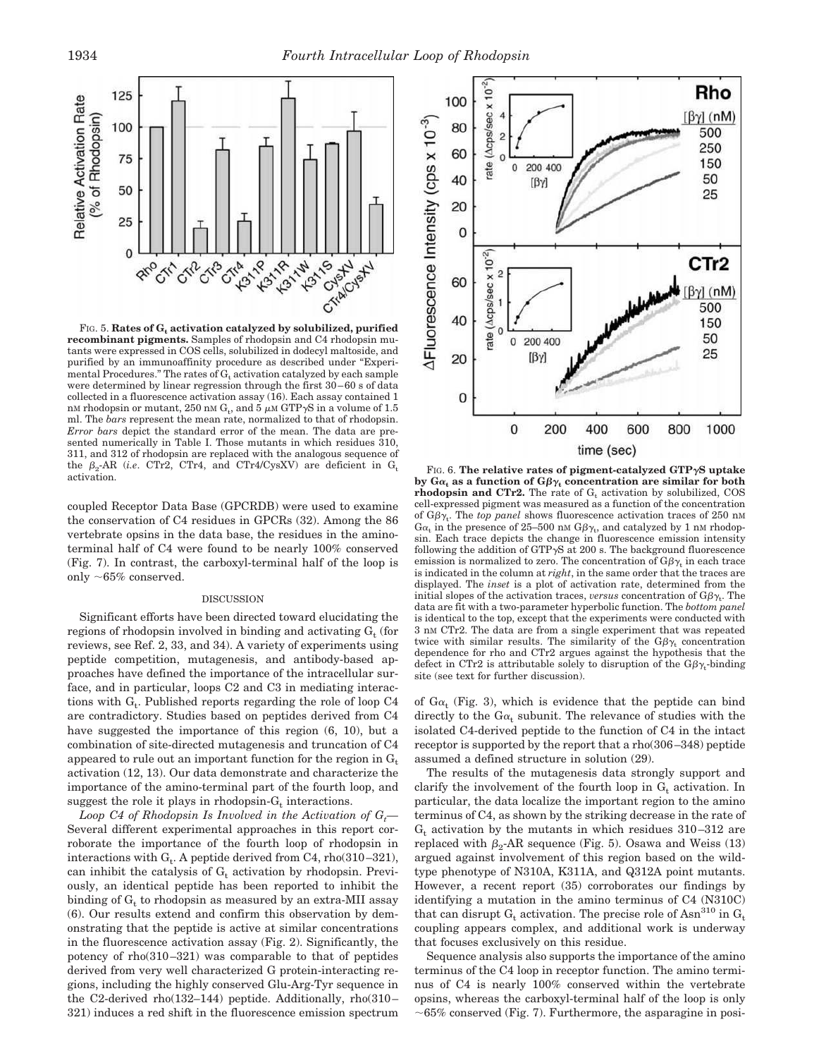

FIG. 5. **Rates of G<sup>t</sup> activation catalyzed by solubilized, purified recombinant pigments.** Samples of rhodopsin and C4 rhodopsin mutants were expressed in COS cells, solubilized in dodecyl maltoside, and purified by an immunoaffinity procedure as described under "Experimental Procedures." The rates of  $G_t$  activation catalyzed by each sample were determined by linear regression through the first 30–60 s of data collected in a fluorescence activation assay (16). Each assay contained 1 nm rhodopsin or mutant, 250 nm  $\rm G_{t},$  and 5  $\rm \mu$ m GTP $\rm \gamma S$  in a volume of 1.5 ml. The *bars* represent the mean rate, normalized to that of rhodopsin. *Error bars* depict the standard error of the mean. The data are presented numerically in Table I. Those mutants in which residues 310, 311, and 312 of rhodopsin are replaced with the analogous sequence of the  $\beta_2$ -AR (*i.e.* CTr2, CTr4, and CTr4/CysXV) are deficient in  $G_t$  $\alpha$ <sup>E</sup>IG. 6. **The relative rates of pigment-catalyzed GTP** $\gamma$ **S uptake**<br>activation.

coupled Receptor Data Base (GPCRDB) were used to examine the conservation of C4 residues in GPCRs (32). Among the 86 vertebrate opsins in the data base, the residues in the aminoterminal half of C4 were found to be nearly 100% conserved (Fig. 7). In contrast, the carboxyl-terminal half of the loop is only  $~1$ 65% conserved.

### DISCUSSION

Significant efforts have been directed toward elucidating the regions of rhodopsin involved in binding and activating  $\mathrm{G}_\mathrm{t}$  (for reviews, see Ref. 2, 33, and 34). A variety of experiments using peptide competition, mutagenesis, and antibody-based approaches have defined the importance of the intracellular surface, and in particular, loops C2 and C3 in mediating interactions with  $G_t$ . Published reports regarding the role of loop C4 are contradictory. Studies based on peptides derived from C4 have suggested the importance of this region (6, 10), but a combination of site-directed mutagenesis and truncation of C4 appeared to rule out an important function for the region in  $G_t$ activation (12, 13). Our data demonstrate and characterize the importance of the amino-terminal part of the fourth loop, and suggest the role it plays in rhodopsin- $G_t$  interactions.

*Loop C4 of Rhodopsin Is Involved in the Activation of*  $G_t$ *—* Several different experimental approaches in this report corroborate the importance of the fourth loop of rhodopsin in interactions with  $G_t$ . A peptide derived from C4, rho $(310-321)$ , can inhibit the catalysis of  $G_t$  activation by rhodopsin. Previously, an identical peptide has been reported to inhibit the binding of  $\mathrm{G}_\mathrm{t}$  to rhodopsin as measured by an extra-MII assay (6). Our results extend and confirm this observation by demonstrating that the peptide is active at similar concentrations in the fluorescence activation assay (Fig. 2). Significantly, the potency of rho(310–321) was comparable to that of peptides derived from very well characterized G protein-interacting regions, including the highly conserved Glu-Arg-Tyr sequence in the C2-derived rho(132–144) peptide. Additionally, rho(310– 321) induces a red shift in the fluorescence emission spectrum



by  $G\alpha_t$  as a function of  $G\beta\gamma_t$  concentration are similar for both **rhodopsin and CTr2.** The rate of  $G_t$  activation by solubilized, COS cell-expressed pigment was measured as a function of the concentration of  $G\beta\gamma_t$ . The *top panel* shows fluorescence activation traces of 250 nm  $Ga_t$  in the presence of 25–500 nm  $G\beta\gamma_t$ , and catalyzed by 1 nm rhodopsin. Each trace depicts the change in fluorescence emission intensity following the addition of GTP $\gamma$ S at 200 s. The background fluorescence emission is normalized to zero. The concentration of  $\mathrm{G}\beta\gamma_\mathrm{t}$  in each trace is indicated in the column at *right*, in the same order that the traces are displayed. The *inset* is a plot of activation rate, determined from the initial slopes of the activation traces, *versus* concentration of  $G\beta\gamma_t$ . The data are fit with a two-parameter hyperbolic function. The *bottom panel* is identical to the top, except that the experiments were conducted with 3 nM CTr2. The data are from a single experiment that was repeated twice with similar results. The similarity of the  $G\beta\gamma_t$  concentration dependence for rho and CTr2 argues against the hypothesis that the defect in CTr2 is attributable solely to disruption of the  $G\beta\gamma_t$ -binding site (see text for further discussion).

of  $Ga_t$  (Fig. 3), which is evidence that the peptide can bind directly to the  $Ga_t$  subunit. The relevance of studies with the isolated C4-derived peptide to the function of C4 in the intact receptor is supported by the report that a rho(306–348) peptide assumed a defined structure in solution (29).

The results of the mutagenesis data strongly support and clarify the involvement of the fourth loop in  $G_t$  activation. In particular, the data localize the important region to the amino terminus of C4, as shown by the striking decrease in the rate of  $G_t$  activation by the mutants in which residues 310–312 are replaced with  $\beta_2$ -AR sequence (Fig. 5). Osawa and Weiss (13) argued against involvement of this region based on the wildtype phenotype of N310A, K311A, and Q312A point mutants. However, a recent report (35) corroborates our findings by identifying a mutation in the amino terminus of C4 (N310C) that can disrupt  $G_t$  activation. The precise role of Asn<sup>310</sup> in  $G_t$ coupling appears complex, and additional work is underway that focuses exclusively on this residue.

Sequence analysis also supports the importance of the amino terminus of the C4 loop in receptor function. The amino terminus of C4 is nearly 100% conserved within the vertebrate opsins, whereas the carboxyl-terminal half of the loop is only  $\sim65\%$  conserved (Fig. 7). Furthermore, the asparagine in posi-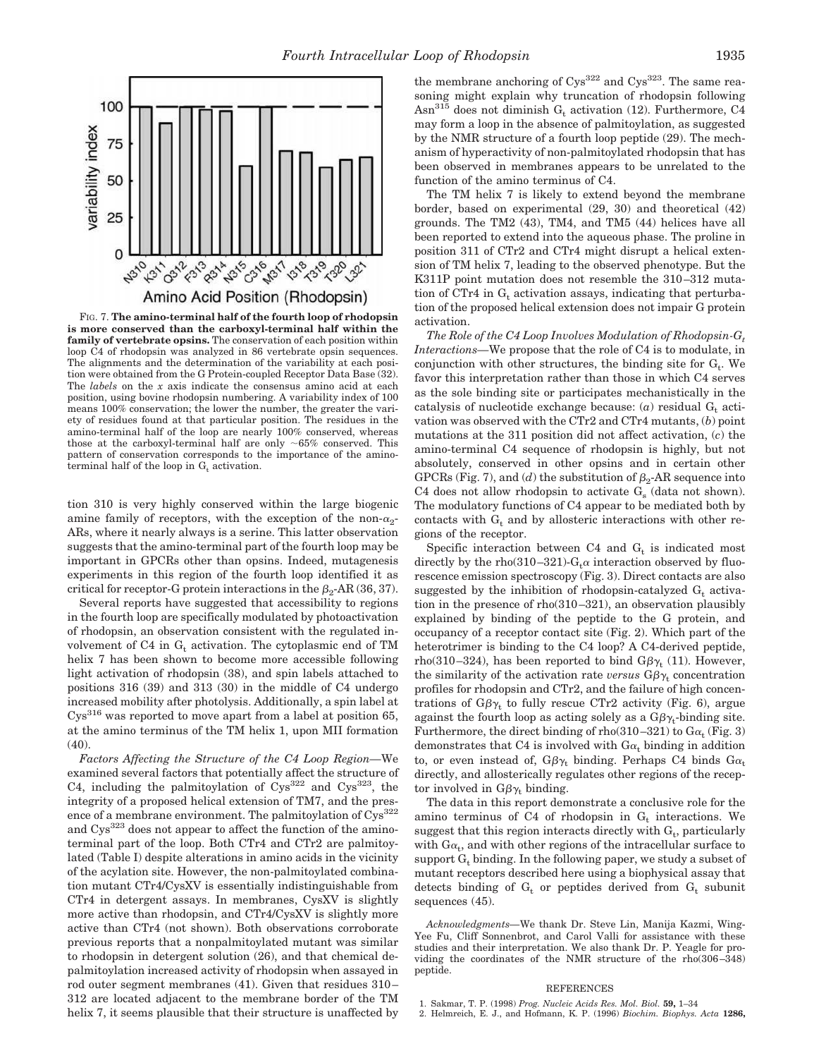

FIG. 7. **The amino-terminal half of the fourth loop of rhodopsin is more conserved than the carboxyl-terminal half within the family of vertebrate opsins.** The conservation of each position within loop C4 of rhodopsin was analyzed in 86 vertebrate opsin sequences. The alignments and the determination of the variability at each position were obtained from the G Protein-coupled Receptor Data Base (32). The *labels* on the *x* axis indicate the consensus amino acid at each position, using bovine rhodopsin numbering. A variability index of 100 means 100% conservation; the lower the number, the greater the variety of residues found at that particular position. The residues in the amino-terminal half of the loop are nearly 100% conserved, whereas those at the carboxyl-terminal half are only  $~65\%$  conserved. This pattern of conservation corresponds to the importance of the aminoterminal half of the loop in  $G_t$  activation.

tion 310 is very highly conserved within the large biogenic amine family of receptors, with the exception of the non- $\alpha_2$ -ARs, where it nearly always is a serine. This latter observation suggests that the amino-terminal part of the fourth loop may be important in GPCRs other than opsins. Indeed, mutagenesis experiments in this region of the fourth loop identified it as critical for receptor-G protein interactions in the  $\beta_2$ -AR (36, 37).

Several reports have suggested that accessibility to regions in the fourth loop are specifically modulated by photoactivation of rhodopsin, an observation consistent with the regulated involvement of C4 in  $G_t$  activation. The cytoplasmic end of TM helix 7 has been shown to become more accessible following light activation of rhodopsin (38), and spin labels attached to positions 316 (39) and 313 (30) in the middle of C4 undergo increased mobility after photolysis. Additionally, a spin label at  $\text{Cys}^{316}$  was reported to move apart from a label at position 65, at the amino terminus of the TM helix 1, upon MII formation (40).

*Factors Affecting the Structure of the C4 Loop Region—*We examined several factors that potentially affect the structure of C4, including the palmitoylation of  $Cys^{322}$  and  $Cys^{323}$ , the integrity of a proposed helical extension of TM7, and the presence of a membrane environment. The palmitoylation of  $\text{Cys}^{322}$ and Cys<sup>323</sup> does not appear to affect the function of the aminoterminal part of the loop. Both CTr4 and CTr2 are palmitoylated (Table I) despite alterations in amino acids in the vicinity of the acylation site. However, the non-palmitoylated combination mutant CTr4/CysXV is essentially indistinguishable from CTr4 in detergent assays. In membranes, CysXV is slightly more active than rhodopsin, and CTr4/CysXV is slightly more active than CTr4 (not shown). Both observations corroborate previous reports that a nonpalmitoylated mutant was similar to rhodopsin in detergent solution (26), and that chemical depalmitoylation increased activity of rhodopsin when assayed in rod outer segment membranes (41). Given that residues 310– 312 are located adjacent to the membrane border of the TM helix 7, it seems plausible that their structure is unaffected by

the membrane anchoring of  $Cys^{322}$  and  $Cys^{323}$ . The same reasoning might explain why truncation of rhodopsin following Asn<sup>315</sup> does not diminish  $G_t$  activation (12). Furthermore, C4 may form a loop in the absence of palmitoylation, as suggested by the NMR structure of a fourth loop peptide (29). The mechanism of hyperactivity of non-palmitoylated rhodopsin that has been observed in membranes appears to be unrelated to the function of the amino terminus of C4.

The TM helix 7 is likely to extend beyond the membrane border, based on experimental (29, 30) and theoretical (42) grounds. The TM2 (43), TM4, and TM5 (44) helices have all been reported to extend into the aqueous phase. The proline in position 311 of CTr2 and CTr4 might disrupt a helical extension of TM helix 7, leading to the observed phenotype. But the K311P point mutation does not resemble the 310–312 mutation of CTr4 in  $G_t$  activation assays, indicating that perturbation of the proposed helical extension does not impair G protein activation.

*The Role of the C4 Loop Involves Modulation of Rhodopsin-G<sup>t</sup> Interactions—*We propose that the role of C4 is to modulate, in conjunction with other structures, the binding site for  $G_t$ . We favor this interpretation rather than those in which C4 serves as the sole binding site or participates mechanistically in the catalysis of nucleotide exchange because:  $(a)$  residual  $G_t$  activation was observed with the CTr2 and CTr4 mutants, (*b*) point mutations at the 311 position did not affect activation, (*c*) the amino-terminal C4 sequence of rhodopsin is highly, but not absolutely, conserved in other opsins and in certain other GPCRs (Fig. 7), and  $(d)$  the substitution of  $\beta_2$ -AR sequence into C4 does not allow rhodopsin to activate  $G_s$  (data not shown). The modulatory functions of C4 appear to be mediated both by contacts with  $G_t$  and by allosteric interactions with other regions of the receptor.

Specific interaction between C4 and  $G_t$  is indicated most directly by the rho(310–321)- $G_t\alpha$  interaction observed by fluorescence emission spectroscopy (Fig. 3). Direct contacts are also suggested by the inhibition of rhodopsin-catalyzed  $G_t$  activation in the presence of rho(310–321), an observation plausibly explained by binding of the peptide to the G protein, and occupancy of a receptor contact site (Fig. 2). Which part of the heterotrimer is binding to the C4 loop? A C4-derived peptide, rho(310–324), has been reported to bind  $\text{G}\beta\gamma_{\text{t}}$  (11). However, the similarity of the activation rate *versus*  $G\beta\gamma_t$  concentration profiles for rhodopsin and CTr2, and the failure of high concentrations of  $G\beta\gamma_t$  to fully rescue CTr2 activity (Fig. 6), argue against the fourth loop as acting solely as a  $G\beta\gamma_t$ -binding site. Furthermore, the direct binding of rho $(310\text{--}321)$  to  $\text{G}\alpha_{\text{t}}$  (Fig. 3) demonstrates that C4 is involved with  $\text{G}\alpha_\text{t}$  binding in addition to, or even instead of,  $G\beta\gamma_t$  binding. Perhaps C4 binds  $G\alpha_t$ directly, and allosterically regulates other regions of the receptor involved in  $G\beta\gamma_t$  binding.

The data in this report demonstrate a conclusive role for the amino terminus of C4 of rhodopsin in  $G_t$  interactions. We suggest that this region interacts directly with  $G_t$ , particularly with  $\text{G}\alpha_{\rm t}$ , and with other regions of the intracellular surface to support  $G_t$  binding. In the following paper, we study a subset of mutant receptors described here using a biophysical assay that detects binding of  $G_t$  or peptides derived from  $G_t$  subunit sequences (45).

*Acknowledgments—*We thank Dr. Steve Lin, Manija Kazmi, Wing-Yee Fu, Cliff Sonnenbrot, and Carol Valli for assistance with these studies and their interpretation. We also thank Dr. P. Yeagle for providing the coordinates of the NMR structure of the rho(306–348) peptide.

#### **REFERENCES**

- 1. Sakmar, T. P. (1998) *Prog. Nucleic Acids Res. Mol. Biol.* **59,** 1–34
- 2. Helmreich, E. J., and Hofmann, K. P. (1996) *Biochim. Biophys. Acta* **1286,**